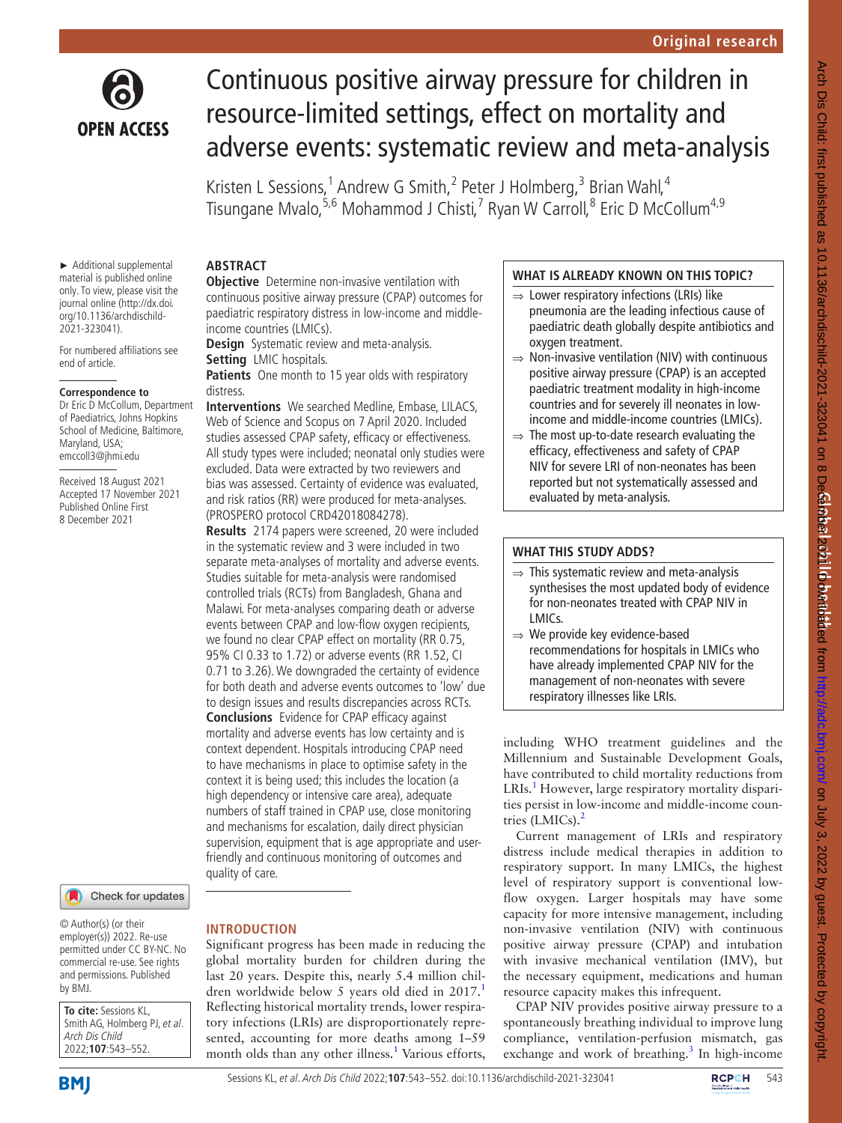

# Continuous positive airway pressure for children in resource-limited settings, effect on mortality and adverse events: systematic review and meta-analysis

Kristen L Sessions,<sup>1</sup> Andrew G Smith,<sup>2</sup> Peter J Holmberg,<sup>3</sup> Brian Wahl,<sup>4</sup> Tisungane Mvalo,<sup>5,6</sup> Mohammod J Chisti,<sup>7</sup> Ryan W Carroll,<sup>8</sup> Eric D McCollum<sup>4,9</sup>

► Additional supplemental material is published online only. To view, please visit the journal online ([http://dx.doi.](http://dx.doi.org/10.1136/archdischild-2021-323041) [org/10.1136/archdischild-](http://dx.doi.org/10.1136/archdischild-2021-323041)[2021-323041\)](http://dx.doi.org/10.1136/archdischild-2021-323041).

For numbered affiliations see end of article.

#### **Correspondence to**

Dr Eric D McCollum, Department of Paediatrics, Johns Hopkins School of Medicine, Baltimore, Maryland, USA; emccoll3@jhmi.edu

Received 18 August 2021 Accepted 17 November 2021 Published Online First 8 December 2021

#### Check for updates

© Author(s) (or their employer(s)) 2022. Re-use permitted under CC BY-NC. No commercial re-use. See rights and permissions. Published by BMJ.

**To cite:** Sessions KL, Smith AG, Holmberg PJ, et al. Arch Dis Child 2022;**107**:543–552.

# **ABSTRACT**

**Objective** Determine non-invasive ventilation with continuous positive airway pressure (CPAP) outcomes for paediatric respiratory distress in low-income and middleincome countries (LMICs).

**Design** Systematic review and meta-analysis.

#### **Setting** LMIC hospitals.

Patients One month to 15 year olds with respiratory distress.

**Interventions** We searched Medline, Embase, LILACS, Web of Science and Scopus on 7 April 2020. Included studies assessed CPAP safety, efficacy or effectiveness. All study types were included; neonatal only studies were excluded. Data were extracted by two reviewers and bias was assessed. Certainty of evidence was evaluated, and risk ratios (RR) were produced for meta-analyses. (PROSPERO protocol CRD42018084278).

**Results** 2174 papers were screened, 20 were included in the systematic review and 3 were included in two separate meta-analyses of mortality and adverse events. Studies suitable for meta-analysis were randomised controlled trials (RCTs) from Bangladesh, Ghana and Malawi. For meta-analyses comparing death or adverse events between CPAP and low-flow oxygen recipients, we found no clear CPAP effect on mortality (RR 0.75, 95% CI 0.33 to 1.72) or adverse events (RR 1.52, CI 0.71 to 3.26). We downgraded the certainty of evidence for both death and adverse events outcomes to 'low' due to design issues and results discrepancies across RCTs. **Conclusions** Evidence for CPAP efficacy against mortality and adverse events has low certainty and is context dependent. Hospitals introducing CPAP need to have mechanisms in place to optimise safety in the context it is being used; this includes the location (a high dependency or intensive care area), adequate numbers of staff trained in CPAP use, close monitoring and mechanisms for escalation, daily direct physician supervision, equipment that is age appropriate and userfriendly and continuous monitoring of outcomes and quality of care.

### **INTRODUCTION**

Significant progress has been made in reducing the global mortality burden for children during the last 20 years. Despite this, nearly 5.4 million chil-dren worldwide below 5 years old died in 20[1](#page-9-0)7. Reflecting historical mortality trends, lower respiratory infections (LRIs) are disproportionately represented, accounting for more deaths among 1–59 month olds than any other illness.<sup>1</sup> Various efforts,

### **WHAT IS ALREADY KNOWN ON THIS TOPIC?**

- $\Rightarrow$  Lower respiratory infections (LRIs) like pneumonia are the leading infectious cause of paediatric death globally despite antibiotics and oxygen treatment.
- ⇒ Non-invasive ventilation (NIV) with continuous positive airway pressure (CPAP) is an accepted paediatric treatment modality in high-income countries and for severely ill neonates in lowincome and middle-income countries (LMICs).
- $\Rightarrow$  The most up-to-date research evaluating the efficacy, effectiveness and safety of CPAP NIV for severe LRI of non-neonates has been reported but not systematically assessed and evaluated by meta-analysis.

### **WHAT THIS STUDY ADDS?**

- $\Rightarrow$  This systematic review and meta-analysis synthesises the most updated body of evidence for non-neonates treated with CPAP NIV in LMICs.
- ⇒ We provide key evidence-based recommendations for hospitals in LMICs who have already implemented CPAP NIV for the management of non-neonates with severe respiratory illnesses like LRIs.

including WHO treatment guidelines and the Millennium and Sustainable Development Goals, have contributed to child mortality reductions from LRIs.<sup>1</sup> However, large respiratory mortality disparities persist in low-income and middle-income countries  $(LMICs).<sup>2</sup>$ 

Current management of LRIs and respiratory distress include medical therapies in addition to respiratory support. In many LMICs, the highest level of respiratory support is conventional lowflow oxygen. Larger hospitals may have some capacity for more intensive management, including non-invasive ventilation (NIV) with continuous positive airway pressure (CPAP) and intubation with invasive mechanical ventilation (IMV), but the necessary equipment, medications and human resource capacity makes this infrequent.

CPAP NIV provides positive airway pressure to a spontaneously breathing individual to improve lung compliance, ventilation-perfusion mismatch, gas exchange and work of breathing.<sup>[3](#page-9-2)</sup> In high-income

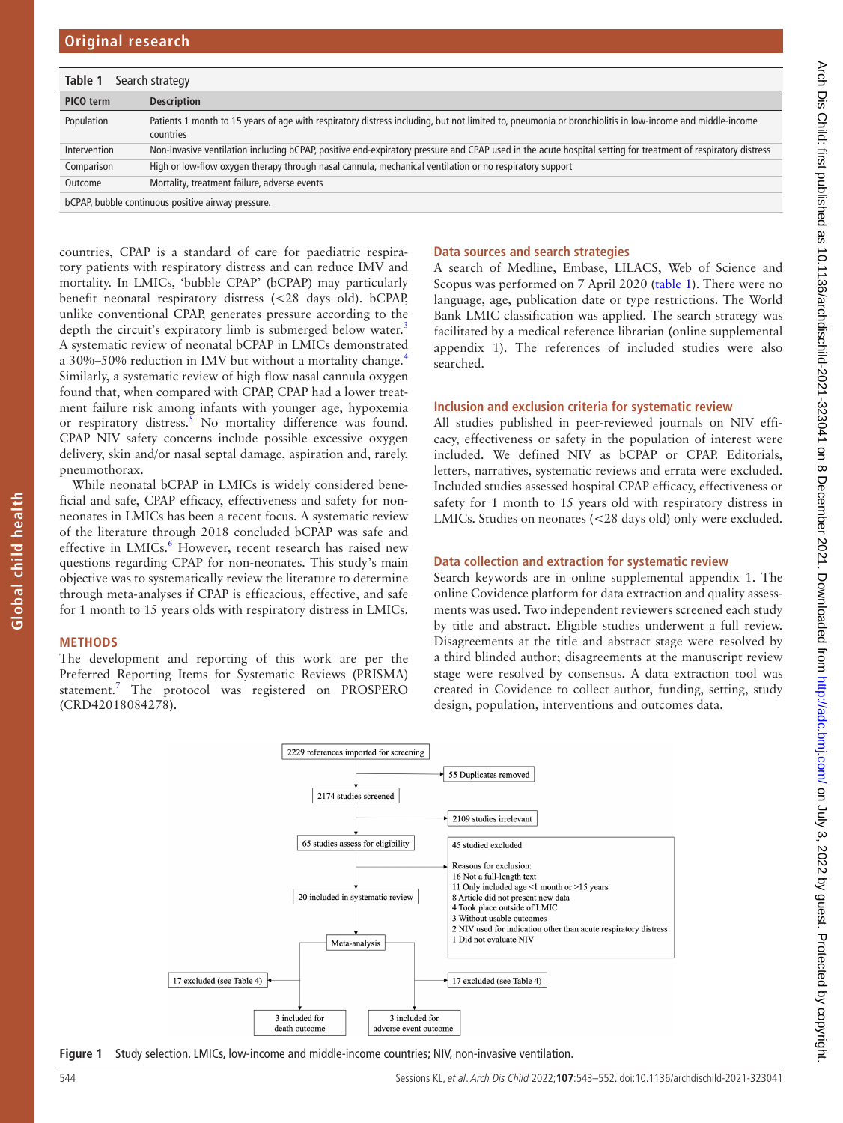<span id="page-1-0"></span>

| Table 1      | Search strategy                                                                                                                                                      |
|--------------|----------------------------------------------------------------------------------------------------------------------------------------------------------------------|
| PICO term    | <b>Description</b>                                                                                                                                                   |
| Population   | Patients 1 month to 15 years of age with respiratory distress including, but not limited to, pneumonia or bronchiolitis in low-income and middle-income<br>countries |
| Intervention | Non-invasive ventilation including bCPAP, positive end-expiratory pressure and CPAP used in the acute hospital setting for treatment of respiratory distress         |
| Comparison   | High or low-flow oxygen therapy through nasal cannula, mechanical ventilation or no respiratory support                                                              |
| Outcome      | Mortality, treatment failure, adverse events                                                                                                                         |
|              | bCPAP, bubble continuous positive airway pressure.                                                                                                                   |

countries, CPAP is a standard of care for paediatric respiratory patients with respiratory distress and can reduce IMV and mortality. In LMICs, 'bubble CPAP' (bCPAP) may particularly benefit neonatal respiratory distress (<28 days old). bCPAP, unlike conventional CPAP, generates pressure according to the depth the circuit's expiratory limb is submerged below water.<sup>3</sup> A systematic review of neonatal bCPAP in LMICs demonstrated a 30%–50% reduction in IMV but without a mortality change.[4](#page-9-3) Similarly, a systematic review of high flow nasal cannula oxygen found that, when compared with CPAP, CPAP had a lower treatment failure risk among infants with younger age, hypoxemia or respiratory distress.<sup>[5](#page-9-4)</sup> No mortality difference was found. CPAP NIV safety concerns include possible excessive oxygen delivery, skin and/or nasal septal damage, aspiration and, rarely, pneumothorax.

While neonatal bCPAP in LMICs is widely considered beneficial and safe, CPAP efficacy, effectiveness and safety for nonneonates in LMICs has been a recent focus. A systematic review of the literature through 2018 concluded bCPAP was safe and effective in LMICs.<sup>[6](#page-9-5)</sup> However, recent research has raised new questions regarding CPAP for non-neonates. This study's main objective was to systematically review the literature to determine through meta-analyses if CPAP is efficacious, effective, and safe for 1 month to 15 years olds with respiratory distress in LMICs.

### **METHODS**

**Global child health**

Global child health

The development and reporting of this work are per the Preferred Reporting Items for Systematic Reviews (PRISMA) statement.<sup>[7](#page-9-6)</sup> The protocol was registered on PROSPERO (CRD42018084278).

#### **Data sources and search strategies**

A search of Medline, Embase, LILACS, Web of Science and Scopus was performed on 7 April 2020 [\(table](#page-1-0) 1). There were no language, age, publication date or type restrictions. The World Bank LMIC classification was applied. The search strategy was facilitated by a medical reference librarian [\(online supplemental](https://dx.doi.org/10.1136/archdischild-2021-323041) [appendix 1](https://dx.doi.org/10.1136/archdischild-2021-323041)). The references of included studies were also searched.

#### **Inclusion and exclusion criteria for systematic review**

All studies published in peer-reviewed journals on NIV efficacy, effectiveness or safety in the population of interest were included. We defined NIV as bCPAP or CPAP. Editorials, letters, narratives, systematic reviews and errata were excluded. Included studies assessed hospital CPAP efficacy, effectiveness or safety for 1 month to 15 years old with respiratory distress in LMICs. Studies on neonates (<28 days old) only were excluded.

#### **Data collection and extraction for systematic review**

Search keywords are in [online supplemental appendix 1.](https://dx.doi.org/10.1136/archdischild-2021-323041) The online Covidence platform for data extraction and quality assessments was used. Two independent reviewers screened each study by title and abstract. Eligible studies underwent a full review. Disagreements at the title and abstract stage were resolved by a third blinded author; disagreements at the manuscript review stage were resolved by consensus. A data extraction tool was created in Covidence to collect author, funding, setting, study design, population, interventions and outcomes data.



<span id="page-1-1"></span>**Figure 1** Study selection. LMICs, low-income and middle-income countries; NIV, non-invasive ventilation.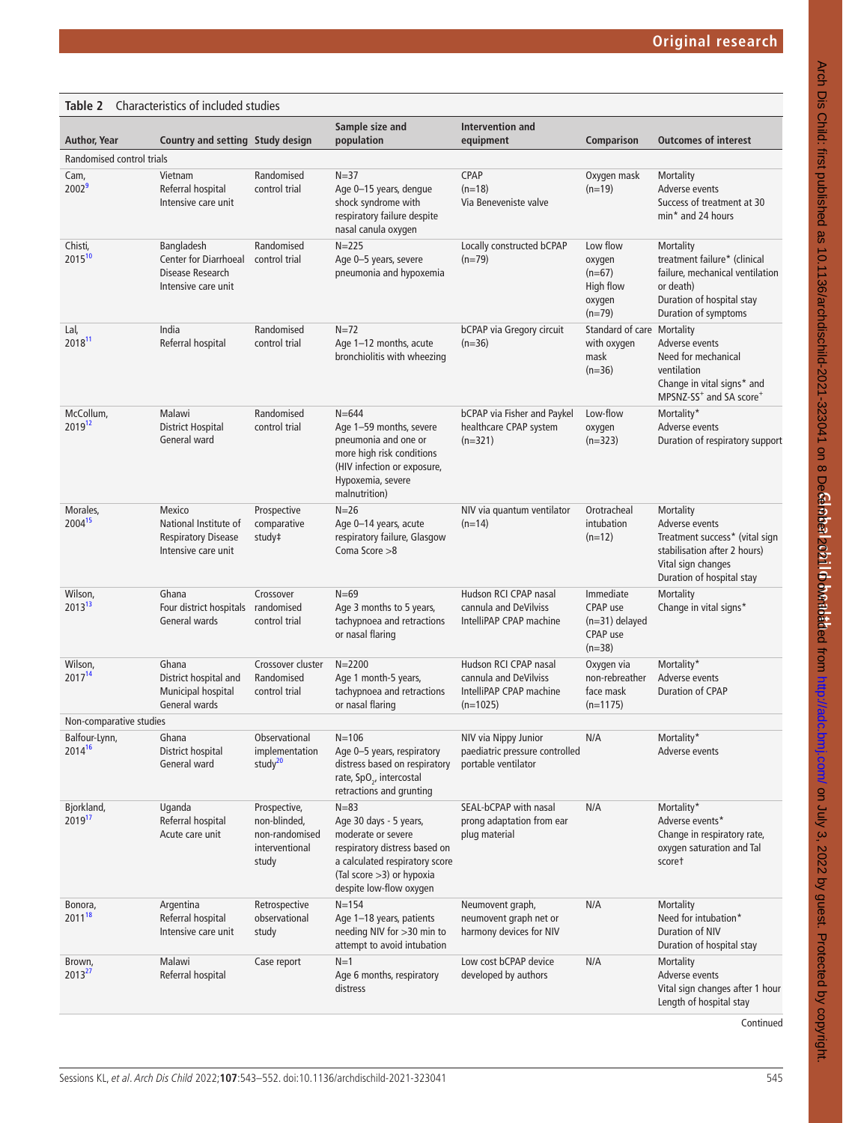#### <span id="page-2-0"></span>**Table 2** Characteristics of included studies **Author, Year Country and setting Study design Sample size and population Intervention and equipment Comparison Outcomes of interest** Randomised control trials Cam,  $2002$ <sup>[9](#page-9-7)</sup> Vietnam Referral hospital Intensive care unit Randomised control trial  $N=37$ Age 0–15 years, dengue shock syndrome with respiratory failure despite nasal canula oxygen **CPAP**  $(n=18)$ Via Beneveniste valve Oxygen mask  $(n=19)$ **Mortality** Adverse events Success of treatment at 30 min\* and 24 hours Chisti, 2015[10](#page-9-8) Bangladesh Center for Diarrhoeal Disease Research Intensive care unit Randomised control trial  $N=225$ Age 0–5 years, severe pneumonia and hypoxemia Locally constructed bCPAP  $(n=79)$ Low flow oxygen  $(n=67)$ High flow oxygen  $(n=79)$ **Mortality** treatment failure\* (clinical failure, mechanical ventilation or death) Duration of hospital stay Duration of symptoms Lal, 2018[11](#page-9-9) India Referral hospital Randomised control trial  $N=72$ Age 1–12 months, acute bronchiolitis with wheezing bCPAP via Gregory circuit  $(n=36)$ Standard of care with oxygen mask  $(n=36)$ Mortality Adverse events Need for mechanical ventilation Change in vital signs\* and MPSNZ-SS<sup>+</sup> and SA score<sup>+</sup> **McCollum** 201[912](#page-9-10) Malawi District Hospital General ward Randomised control trial  $N = 644$ Age 1–59 months, severe pneumonia and one or more high risk conditions (HIV infection or exposure, Hypoxemia, severe malnutrition) bCPAP via Fisher and Paykel healthcare CPAP system (n=321) Low-flow oxygen (n=323) **Mortality** Adverse events Duration of respiratory support Morales, 2004[15](#page-9-11) **Mexico** National Institute of Respiratory Disease Intensive care unit Prospective comparative study‡  $N=26$ Age 0–14 years, acute respiratory failure, Glasgow Coma Score >8 NIV via quantum ventilator  $(n=14)$ Orotracheal intubation  $(n=12)$ **Mortality** Adverse events Treatment success\* (vital sign stabilisation after 2 hours) Vital sign changes Duration of hospital stay Wilson, 20[13](#page-9-12)1 Ghana Four district hospitals General wards Crossover randomised control trial  $N=69$ Age 3 months to 5 years, tachypnoea and retractions or nasal flaring Hudson RCI CPAP nasal cannula and DeVilviss IntelliPAP CPAP machine Immediate CPAP use (n=31) delayed CPAP use  $(n=38)$ **Mortality** Change in vital signs\* Wilson, 2017[14](#page-9-13) Ghana District hospital and Municipal hospital General wards Crossover cluster Randomised control trial  $N = 2200$ Age 1 month-5 years, tachypnoea and retractions or nasal flaring Hudson RCI CPAP nasal cannula and DeVilviss IntelliPAP CPAP machine  $(n=1025)$ Oxygen via non-rebreather face mask (n=1175) **Mortality** Adverse events Duration of CPAP Non-comparative studies Balfour-Lynn,  $2014^{16}$  $2014^{16}$  $2014^{16}$ Ghana District hospital General ward Observational implementation stud $v^{20}$  $v^{20}$  $v^{20}$  $N=106$ Age 0–5 years, respiratory distress based on respiratory rate, SpO<sub>2</sub>, intercostal retractions and grunting NIV via Nippy Junior paediatric pressure controlled portable ventilator N/A Mortality\* Adverse events Bjorkland, 2019[17](#page-9-16) Uganda Referral hospital Acute care unit Prospective, non-blinded, non-randomised interventional study  $N=83$ Age 30 days - 5 years, moderate or severe respiratory distress based on a calculated respiratory score (Tal score >3) or hypoxia despite low-flow oxygen SEAL-bCPAP with nasal prong adaptation from ear plug material N/A Mortality\* Adverse events\* Change in respiratory rate, oxygen saturation and Tal score† Bonora, 2011[18](#page-9-17) Argentina Referral hospital Intensive care unit Retrospective observational study  $N=154$ Age 1–18 years, patients needing NIV for >30 min to attempt to avoid intubation Neumovent graph, neumovent graph net or harmony devices for NIV N/A Mortality Need for intubation\* Duration of NIV Duration of hospital stay Brown, 20132 Malawi Referral hospital Case report N=1 Age 6 months, respiratory distress Low cost bCPAP device developed by authors N/A Mortality Adverse events Vital sign changes after 1 hour Length of hospital stay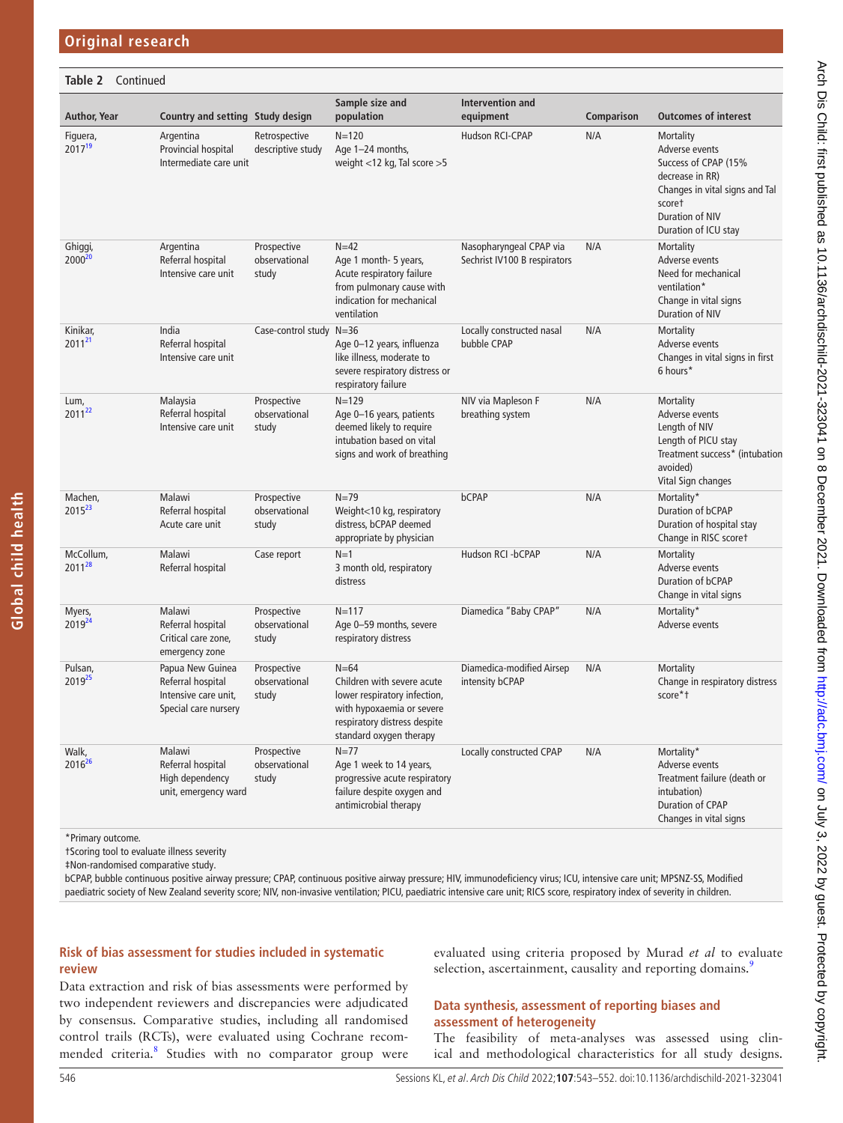| Table 2 Continued              |                                                                                       |                                       |                                                                                                                                                                |                                                         |            |                                                                                                                                                               |
|--------------------------------|---------------------------------------------------------------------------------------|---------------------------------------|----------------------------------------------------------------------------------------------------------------------------------------------------------------|---------------------------------------------------------|------------|---------------------------------------------------------------------------------------------------------------------------------------------------------------|
| Author, Year                   | Country and setting Study design                                                      |                                       | Sample size and<br>population                                                                                                                                  | Intervention and<br>equipment                           | Comparison | <b>Outcomes of interest</b>                                                                                                                                   |
| Figuera,<br>2017 <sup>19</sup> | Argentina<br>Provincial hospital<br>Intermediate care unit                            | Retrospective<br>descriptive study    | $N = 120$<br>Age 1-24 months,<br>weight <12 kg, Tal score >5                                                                                                   | Hudson RCI-CPAP                                         | N/A        | Mortality<br>Adverse events<br>Success of CPAP (15%<br>decrease in RR)<br>Changes in vital signs and Tal<br>scoret<br>Duration of NIV<br>Duration of ICU stay |
| Ghiggi,<br>2000 <sup>20</sup>  | Argentina<br>Referral hospital<br>Intensive care unit                                 | Prospective<br>observational<br>study | $N=42$<br>Age 1 month- 5 years,<br>Acute respiratory failure<br>from pulmonary cause with<br>indication for mechanical<br>ventilation                          | Nasopharyngeal CPAP via<br>Sechrist IV100 B respirators | N/A        | <b>Mortality</b><br>Adverse events<br>Need for mechanical<br>ventilation*<br>Change in vital signs<br>Duration of NIV                                         |
| Kinikar,<br>2011 <sup>21</sup> | India<br>Referral hospital<br>Intensive care unit                                     | Case-control study                    | $N = 36$<br>Age 0-12 years, influenza<br>like illness, moderate to<br>severe respiratory distress or<br>respiratory failure                                    | Locally constructed nasal<br>bubble CPAP                | N/A        | Mortality<br>Adverse events<br>Changes in vital signs in first<br>6 hours*                                                                                    |
| Lum,<br>2011 <sup>22</sup>     | Malaysia<br>Referral hospital<br>Intensive care unit                                  | Prospective<br>observational<br>study | $N = 129$<br>Age 0-16 years, patients<br>deemed likely to require<br>intubation based on vital<br>signs and work of breathing                                  | NIV via Mapleson F<br>breathing system                  | N/A        | Mortality<br>Adverse events<br>Length of NIV<br>Length of PICU stay<br>Treatment success* (intubation<br>avoided)<br>Vital Sign changes                       |
| Machen,<br>2015 <sup>23</sup>  | Malawi<br>Referral hospital<br>Acute care unit                                        | Prospective<br>observational<br>study | $N = 79$<br>Weight<10 kg, respiratory<br>distress, bCPAP deemed<br>appropriate by physician                                                                    | bCPAP                                                   | N/A        | Mortality*<br>Duration of bCPAP<br>Duration of hospital stay<br>Change in RISC scoret                                                                         |
| McCollum,<br>201128            | Malawi<br>Referral hospital                                                           | Case report                           | $N=1$<br>3 month old, respiratory<br>distress                                                                                                                  | Hudson RCI -bCPAP                                       | N/A        | Mortality<br>Adverse events<br>Duration of bCPAP<br>Change in vital signs                                                                                     |
| Myers,<br>2019 <sup>24</sup>   | Malawi<br>Referral hospital<br>Critical care zone,<br>emergency zone                  | Prospective<br>observational<br>study | $N = 117$<br>Age 0-59 months, severe<br>respiratory distress                                                                                                   | Diamedica "Baby CPAP"                                   | N/A        | Mortality*<br>Adverse events                                                                                                                                  |
| Pulsan,<br>201925              | Papua New Guinea<br>Referral hospital<br>Intensive care unit,<br>Special care nursery | Prospective<br>observational<br>study | $N = 64$<br>Children with severe acute<br>lower respiratory infection,<br>with hypoxaemia or severe<br>respiratory distress despite<br>standard oxygen therapy | Diamedica-modified Airsep<br>intensity bCPAP            | N/A        | Mortality<br>Change in respiratory distress<br>score*t                                                                                                        |
| Walk,<br>201626                | Malawi<br>Referral hospital<br>High dependency<br>unit, emergency ward                | Prospective<br>observational<br>study | $N = 77$<br>Age 1 week to 14 years,<br>progressive acute respiratory<br>failure despite oxygen and<br>antimicrobial therapy                                    | Locally constructed CPAP                                | N/A        | Mortality*<br>Adverse events<br>Treatment failure (death or<br>intubation)<br>Duration of CPAP<br>Changes in vital signs                                      |

\*Primary outcome.

**Global child health**

Global child health

†Scoring tool to evaluate illness severity

‡Non-randomised comparative study.

bCPAP, bubble continuous positive airway pressure; CPAP, continuous positive airway pressure; HIV, immunodeficiency virus; ICU, intensive care unit; MPSNZ-SS, Modified paediatric society of New Zealand severity score; NIV, non-invasive ventilation; PICU, paediatric intensive care unit; RICS score, respiratory index of severity in children.

# **Risk of bias assessment for studies included in systematic review**

Data extraction and risk of bias assessments were performed by two independent reviewers and discrepancies were adjudicated by consensus. Comparative studies, including all randomised control trails (RCTs), were evaluated using Cochrane recom-mended criteria.<sup>[8](#page-9-19)</sup> Studies with no comparator group were evaluated using criteria proposed by Murad *et al* to evaluate selection, ascertainment, causality and reporting domains.<sup>[9](#page-9-7)</sup>

### **Data synthesis, assessment of reporting biases and assessment of heterogeneity**

The feasibility of meta-analyses was assessed using clinical and methodological characteristics for all study designs.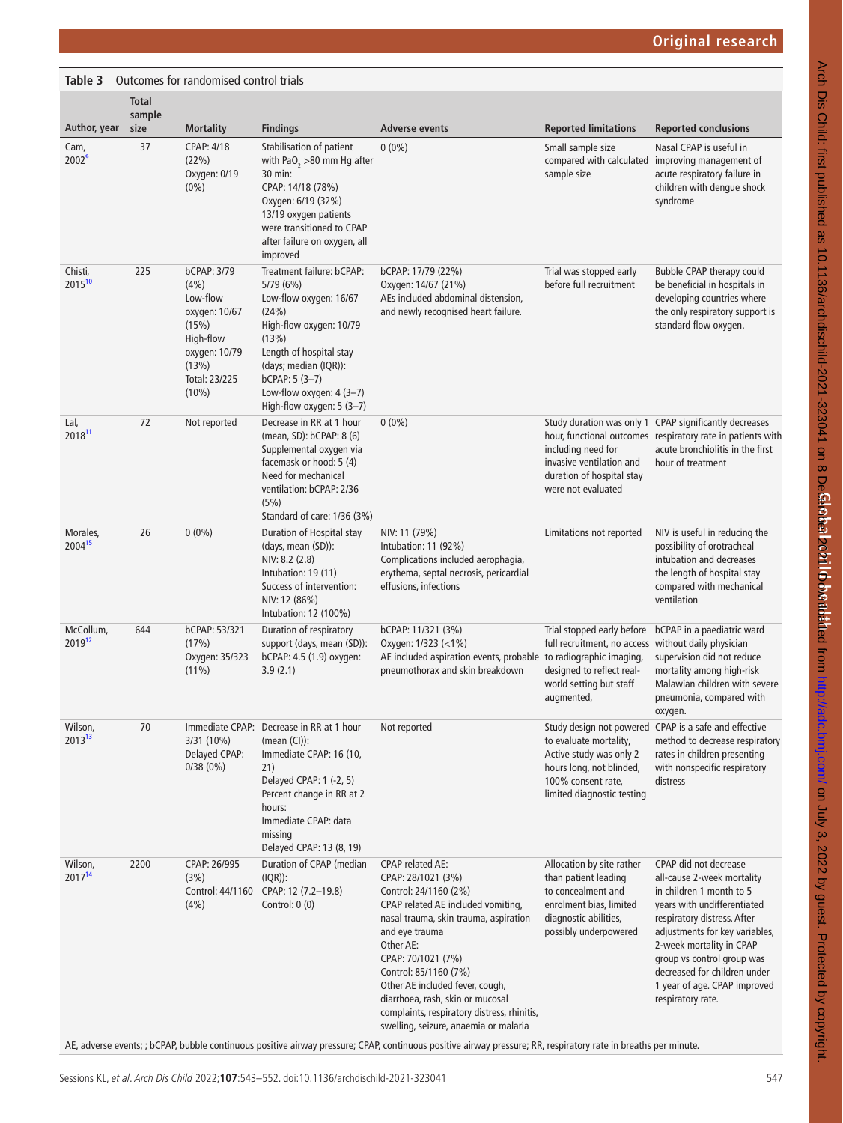<span id="page-4-0"></span>

| <b>Table 3</b> Outcomes for randomised control trials |
|-------------------------------------------------------|

|                                 | <b>Total</b><br>sample |                                                                                                                                    |                                                                                                                                                                                                                                               |                                                                                                                                                                                                                                                                                                                                                                                                                                                                                                                                                                       |                                                                                                                                                         |                                                                                                                                                                                                                                                                                                                                |
|---------------------------------|------------------------|------------------------------------------------------------------------------------------------------------------------------------|-----------------------------------------------------------------------------------------------------------------------------------------------------------------------------------------------------------------------------------------------|-----------------------------------------------------------------------------------------------------------------------------------------------------------------------------------------------------------------------------------------------------------------------------------------------------------------------------------------------------------------------------------------------------------------------------------------------------------------------------------------------------------------------------------------------------------------------|---------------------------------------------------------------------------------------------------------------------------------------------------------|--------------------------------------------------------------------------------------------------------------------------------------------------------------------------------------------------------------------------------------------------------------------------------------------------------------------------------|
| Author, year                    | size                   | <b>Mortality</b>                                                                                                                   | <b>Findings</b>                                                                                                                                                                                                                               | Adverse events                                                                                                                                                                                                                                                                                                                                                                                                                                                                                                                                                        | <b>Reported limitations</b>                                                                                                                             | <b>Reported conclusions</b>                                                                                                                                                                                                                                                                                                    |
| Cam,<br>2002 <sup>9</sup>       | 37                     | CPAP: 4/18<br>(22%)<br>Oxygen: 0/19<br>$(0\%)$                                                                                     | Stabilisation of patient<br>with PaO <sub>2</sub> > 80 mm Hg after<br>30 min:<br>CPAP: 14/18 (78%)<br>Oxygen: 6/19 (32%)<br>13/19 oxygen patients<br>were transitioned to CPAP<br>after failure on oxygen, all<br>improved                    | $0(0\%)$                                                                                                                                                                                                                                                                                                                                                                                                                                                                                                                                                              | Small sample size<br>sample size                                                                                                                        | Nasal CPAP is useful in<br>compared with calculated improving management of<br>acute respiratory failure in<br>children with dengue shock<br>syndrome                                                                                                                                                                          |
| Chisti,<br>$2015^{10}$          | 225                    | <b>bCPAP: 3/79</b><br>(4% )<br>Low-flow<br>oxygen: 10/67<br>(15%)<br>High-flow<br>oxygen: 10/79<br>(13%)<br>Total: 23/225<br>(10%) | Treatment failure: bCPAP:<br>5/79 (6%)<br>Low-flow oxygen: 16/67<br>(24%)<br>High-flow oxygen: 10/79<br>(13%)<br>Length of hospital stay<br>(days; median (IQR)):<br>$bCPAP: 5(3-7)$<br>Low-flow oxygen: 4 (3-7)<br>High-flow oxygen: 5 (3-7) | bCPAP: 17/79 (22%)<br>Oxygen: 14/67 (21%)<br>AEs included abdominal distension,<br>and newly recognised heart failure.                                                                                                                                                                                                                                                                                                                                                                                                                                                | Trial was stopped early<br>before full recruitment                                                                                                      | Bubble CPAP therapy could<br>be beneficial in hospitals in<br>developing countries where<br>the only respiratory support is<br>standard flow oxygen.                                                                                                                                                                           |
| Lal,<br>2018 <sup>11</sup>      | 72                     | Not reported                                                                                                                       | Decrease in RR at 1 hour<br>(mean, SD): bCPAP: 8 (6)<br>Supplemental oxygen via<br>facemask or hood: 5 (4)<br>Need for mechanical<br>ventilation: bCPAP: 2/36<br>(5%)<br>Standard of care: 1/36 (3%)                                          | $0(0\%)$                                                                                                                                                                                                                                                                                                                                                                                                                                                                                                                                                              | including need for<br>invasive ventilation and<br>duration of hospital stay<br>were not evaluated                                                       | Study duration was only 1 CPAP significantly decreases<br>hour, functional outcomes respiratory rate in patients with<br>acute bronchiolitis in the first<br>hour of treatment                                                                                                                                                 |
| Morales,<br>2004 <sup>15</sup>  | 26                     | $0(0\%)$                                                                                                                           | Duration of Hospital stay<br>(days, mean (SD)):<br>NIV: 8.2 (2.8)<br>Intubation: 19 (11)<br>Success of intervention:<br>NIV: 12 (86%)<br>Intubation: 12 (100%)                                                                                | NIV: 11 (79%)<br>Intubation: 11 (92%)<br>Complications included aerophagia,<br>erythema, septal necrosis, pericardial<br>effusions, infections                                                                                                                                                                                                                                                                                                                                                                                                                        | Limitations not reported                                                                                                                                | NIV is useful in reducing the<br>possibility of orotracheal<br>intubation and decreases<br>the length of hospital stay<br>compared with mechanical<br>ventilation                                                                                                                                                              |
| McCollum,<br>2019 <sup>12</sup> | 644                    | bCPAP: 53/321<br>(17%)<br>Oxygen: 35/323<br>$(11\%)$                                                                               | Duration of respiratory<br>support (days, mean (SD)):<br>bCPAP: 4.5 (1.9) oxygen:<br>3.9(2.1)                                                                                                                                                 | bCPAP: 11/321 (3%)<br>Oxygen: 1/323 (<1%)<br>AE included aspiration events, probable to radiographic imaging,<br>pneumothorax and skin breakdown                                                                                                                                                                                                                                                                                                                                                                                                                      | Trial stopped early before<br>full recruitment, no access without daily physician<br>designed to reflect real-<br>world setting but staff<br>augmented, | bCPAP in a paediatric ward<br>supervision did not reduce<br>mortality among high-risk<br>Malawian children with severe<br>pneumonia, compared with<br>oxygen.                                                                                                                                                                  |
| Wilson,<br>201313               | 70                     | Immediate CPAP:<br>3/31 (10%)<br>Delayed CPAP:<br>0/38(0%)                                                                         | Decrease in RR at 1 hour<br>$(mean (Cl))$ :<br>Immediate CPAP: 16 (10,<br>21)<br>Delayed CPAP: 1 (-2, 5)<br>Percent change in RR at 2<br>hours:<br>Immediate CPAP: data<br>missing<br>Delayed CPAP: 13 (8, 19)                                | Not reported                                                                                                                                                                                                                                                                                                                                                                                                                                                                                                                                                          | to evaluate mortality,<br>Active study was only 2<br>hours long, not blinded,<br>100% consent rate,<br>limited diagnostic testing                       | Study design not powered CPAP is a safe and effective<br>method to decrease respiratory<br>rates in children presenting<br>with nonspecific respiratory<br>distress                                                                                                                                                            |
| Wilson,<br>2017 <sup>14</sup>   | 2200                   | CPAP: 26/995<br>(3%)<br>Control: 44/1160<br>(4%)                                                                                   | Duration of CPAP (median<br>$(IQR))$ :<br>CPAP: 12 (7.2-19.8)<br>Control: $0(0)$                                                                                                                                                              | <b>CPAP related AE:</b><br>CPAP: 28/1021 (3%)<br>Control: 24/1160 (2%)<br>CPAP related AE included vomiting,<br>nasal trauma, skin trauma, aspiration<br>and eye trauma<br>Other AE:<br>CPAP: 70/1021 (7%)<br>Control: 85/1160 (7%)<br>Other AE included fever, cough,<br>diarrhoea, rash, skin or mucosal<br>complaints, respiratory distress, rhinitis,<br>swelling, seizure, anaemia or malaria<br>AE, adverse events; ; bCPAP, bubble continuous positive airway pressure; CPAP, continuous positive airway pressure; RR, respiratory rate in breaths per minute. | Allocation by site rather<br>than patient leading<br>to concealment and<br>enrolment bias, limited<br>diagnostic abilities,<br>possibly underpowered    | CPAP did not decrease<br>all-cause 2-week mortality<br>in children 1 month to 5<br>years with undifferentiated<br>respiratory distress. After<br>adjustments for key variables,<br>2-week mortality in CPAP<br>group vs control group was<br>decreased for children under<br>1 year of age. CPAP improved<br>respiratory rate. |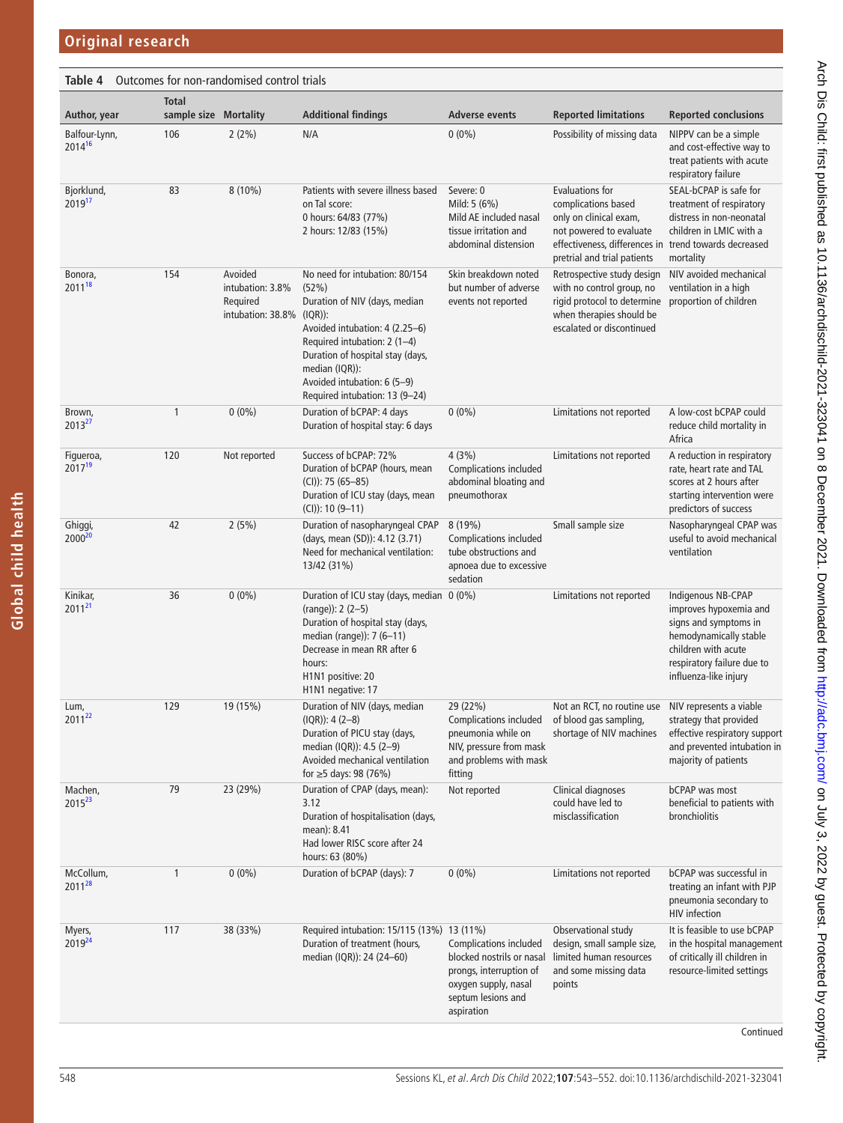<span id="page-5-0"></span>

| Table 4                         |                                       | Outcomes for non-randomised control trials                              |                                                                                                                                                                                                                                                                   |                                                                                                                                            |                                                                                                                                                                                            |                                                                                                                                                                               |
|---------------------------------|---------------------------------------|-------------------------------------------------------------------------|-------------------------------------------------------------------------------------------------------------------------------------------------------------------------------------------------------------------------------------------------------------------|--------------------------------------------------------------------------------------------------------------------------------------------|--------------------------------------------------------------------------------------------------------------------------------------------------------------------------------------------|-------------------------------------------------------------------------------------------------------------------------------------------------------------------------------|
| Author, year                    | <b>Total</b><br>sample size Mortality |                                                                         | <b>Additional findings</b>                                                                                                                                                                                                                                        | <b>Adverse events</b>                                                                                                                      | <b>Reported limitations</b>                                                                                                                                                                | <b>Reported conclusions</b>                                                                                                                                                   |
| Balfour-Lynn,<br>201416         | 106                                   | 2(2%)                                                                   | N/A                                                                                                                                                                                                                                                               | $0(0\%)$                                                                                                                                   | Possibility of missing data                                                                                                                                                                | NIPPV can be a simple<br>and cost-effective way to<br>treat patients with acute<br>respiratory failure                                                                        |
| Bjorklund,<br>201917            | 83                                    | $8(10\%)$                                                               | Patients with severe illness based<br>on Tal score:<br>0 hours: 64/83 (77%)<br>2 hours: 12/83 (15%)                                                                                                                                                               | Severe: 0<br>Mild: 5 (6%)<br>Mild AE included nasal<br>tissue irritation and<br>abdominal distension                                       | <b>Evaluations for</b><br>complications based<br>only on clinical exam,<br>not powered to evaluate<br>effectiveness, differences in trend towards decreased<br>pretrial and trial patients | SEAL-bCPAP is safe for<br>treatment of respiratory<br>distress in non-neonatal<br>children in LMIC with a<br>mortality                                                        |
| Bonora,<br>2011 <sup>18</sup>   | 154                                   | Avoided<br>intubation: 3.8%<br>Required<br>intubation: $38.8\%$ (IQR)): | No need for intubation: 80/154<br>(52%)<br>Duration of NIV (days, median<br>Avoided intubation: 4 (2.25-6)<br>Required intubation: 2 (1-4)<br>Duration of hospital stay (days,<br>median (IQR)):<br>Avoided intubation: 6 (5-9)<br>Required intubation: 13 (9-24) | Skin breakdown noted<br>but number of adverse<br>events not reported                                                                       | Retrospective study design<br>with no control group, no<br>rigid protocol to determine<br>when therapies should be<br>escalated or discontinued                                            | NIV avoided mechanical<br>ventilation in a high<br>proportion of children                                                                                                     |
| Brown,<br>201327                | 1                                     | $0(0\%)$                                                                | Duration of bCPAP: 4 days<br>Duration of hospital stay: 6 days                                                                                                                                                                                                    | $0(0\%)$                                                                                                                                   | Limitations not reported                                                                                                                                                                   | A low-cost bCPAP could<br>reduce child mortality in<br>Africa                                                                                                                 |
| Figueroa,<br>2017 <sup>19</sup> | 120                                   | Not reported                                                            | Success of bCPAP: 72%<br>Duration of bCPAP (hours, mean<br>$(CI))$ : 75 (65-85)<br>Duration of ICU stay (days, mean<br>$(CI)): 10 (9-11)$                                                                                                                         | 4(3%)<br><b>Complications included</b><br>abdominal bloating and<br>pneumothorax                                                           | Limitations not reported                                                                                                                                                                   | A reduction in respiratory<br>rate, heart rate and TAL<br>scores at 2 hours after<br>starting intervention were<br>predictors of success                                      |
| Ghiggi,<br>2000 <sup>20</sup>   | 42                                    | 2(5%)                                                                   | Duration of nasopharyngeal CPAP<br>(days, mean (SD)): 4.12 (3.71)<br>Need for mechanical ventilation:<br>13/42 (31%)                                                                                                                                              | 8 (19%)<br><b>Complications included</b><br>tube obstructions and<br>apnoea due to excessive<br>sedation                                   | Small sample size                                                                                                                                                                          | Nasopharyngeal CPAP was<br>useful to avoid mechanical<br>ventilation                                                                                                          |
| Kinikar,<br>$2011^{21}$         | 36                                    | $0(0\%)$                                                                | Duration of ICU stay (days, median 0 (0%)<br>$(range)$ : 2 (2-5)<br>Duration of hospital stay (days,<br>median (range)): 7 (6-11)<br>Decrease in mean RR after 6<br>hours:<br>H1N1 positive: 20<br>H <sub>1</sub> N <sub>1</sub> negative: 17                     |                                                                                                                                            | Limitations not reported                                                                                                                                                                   | Indigenous NB-CPAP<br>improves hypoxemia and<br>signs and symptoms in<br>hemodynamically stable<br>children with acute<br>respiratory failure due to<br>influenza-like injury |
| Lum,<br>201122                  | 129                                   | 19 (15%)                                                                | Duration of NIV (days, median<br>$(IQR))$ : 4 $(2-8)$<br>Duration of PICU stay (days,<br>median (IQR)): 4.5 (2-9)<br>Avoided mechanical ventilation<br>for $\geq$ 5 days: 98 (76%)                                                                                | 29 (22%)<br><b>Complications included</b><br>pneumonia while on<br>NIV, pressure from mask<br>and problems with mask<br>fitting            | Not an RCT, no routine use<br>of blood gas sampling,<br>shortage of NIV machines                                                                                                           | NIV represents a viable<br>strategy that provided<br>effective respiratory support<br>and prevented intubation in<br>majority of patients                                     |
| Machen,<br>2015 <sup>23</sup>   | 79                                    | 23 (29%)                                                                | Duration of CPAP (days, mean):<br>3.12<br>Duration of hospitalisation (days,<br>mean): 8.41<br>Had lower RISC score after 24<br>hours: 63 (80%)                                                                                                                   | Not reported                                                                                                                               | Clinical diagnoses<br>could have led to<br>misclassification                                                                                                                               | <b>bCPAP</b> was most<br>beneficial to patients with<br>bronchiolitis                                                                                                         |
| McCollum,<br>2011 <sup>28</sup> | 1                                     | $0(0\%)$                                                                | Duration of bCPAP (days): 7                                                                                                                                                                                                                                       | $0(0\%)$                                                                                                                                   | Limitations not reported                                                                                                                                                                   | bCPAP was successful in<br>treating an infant with PJP<br>pneumonia secondary to<br><b>HIV</b> infection                                                                      |
| Myers,<br>2019 <sup>24</sup>    | 117                                   | 38 (33%)                                                                | Required intubation: 15/115 (13%) 13 (11%)<br>Duration of treatment (hours,<br>median (IQR)): 24 (24–60)                                                                                                                                                          | Complications included<br>blocked nostrils or nasal<br>prongs, interruption of<br>oxygen supply, nasal<br>septum lesions and<br>aspiration | Observational study<br>design, small sample size,<br>limited human resources<br>and some missing data<br>points                                                                            | It is feasible to use bCPAP<br>in the hospital management<br>of critically ill children in<br>resource-limited settings                                                       |

Continued

**Global child health**

Global child health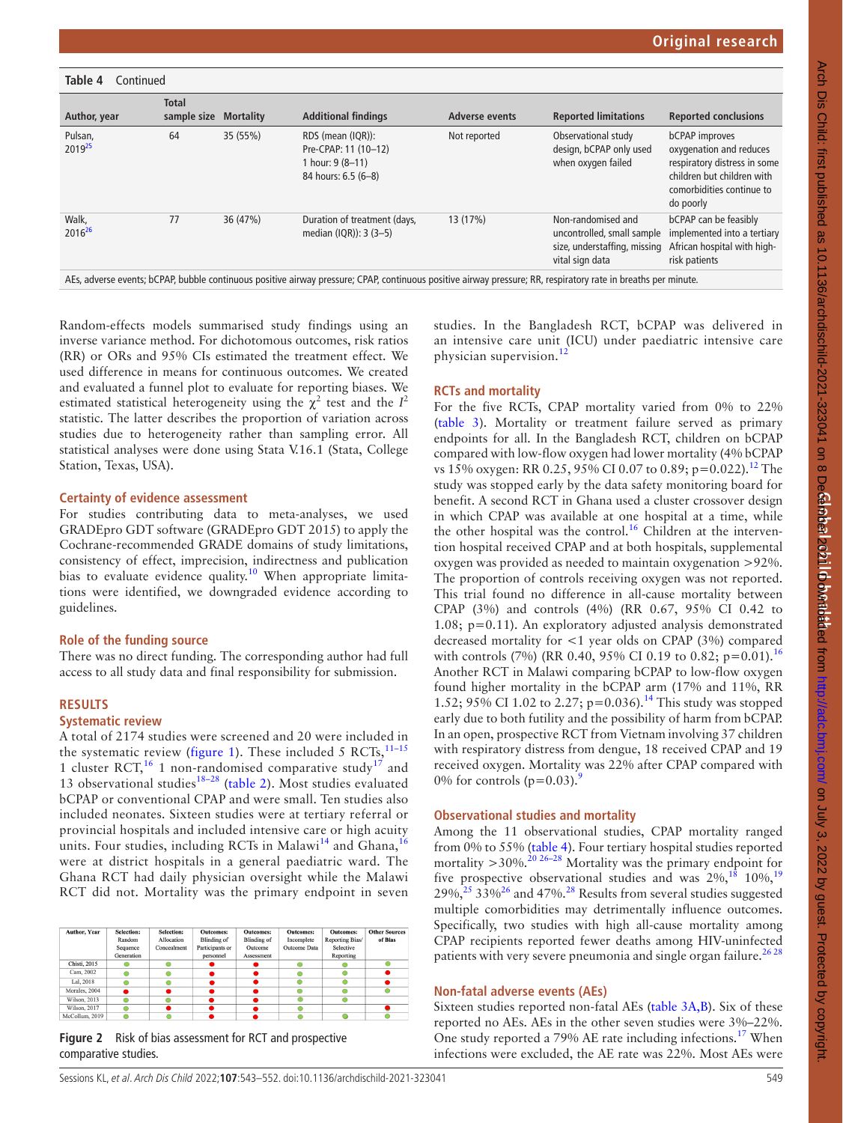| Table 4<br>Continued          |                             |                  |                                                                                                                                                                |                       |                                                                                                     |                                                                                                                                                          |
|-------------------------------|-----------------------------|------------------|----------------------------------------------------------------------------------------------------------------------------------------------------------------|-----------------------|-----------------------------------------------------------------------------------------------------|----------------------------------------------------------------------------------------------------------------------------------------------------------|
| Author, year                  | <b>Total</b><br>sample size | <b>Mortality</b> | <b>Additional findings</b>                                                                                                                                     | <b>Adverse events</b> | <b>Reported limitations</b>                                                                         | <b>Reported conclusions</b>                                                                                                                              |
| Pulsan,<br>2019 <sup>25</sup> | 64                          | 35 (55%)         | RDS (mean (IQR)):<br>Pre-CPAP: 11 (10-12)<br>1 hour: 9 (8-11)<br>84 hours: 6.5 (6-8)                                                                           | Not reported          | Observational study<br>design, bCPAP only used<br>when oxygen failed                                | <b>bCPAP</b> improves<br>oxygenation and reduces<br>respiratory distress in some<br>children but children with<br>comorbidities continue to<br>do poorly |
| Walk,<br>2016 <sup>26</sup>   | 77                          | 36 (47%)         | Duration of treatment (days,<br>median (IQR)): 3 (3-5)                                                                                                         | 13 (17%)              | Non-randomised and<br>uncontrolled, small sample<br>size, understaffing, missing<br>vital sign data | <b>bCPAP</b> can be feasibly<br>implemented into a tertiary<br>African hospital with high-<br>risk patients                                              |
|                               |                             |                  | AEs, adverse events; bCPAP, bubble continuous positive airway pressure; CPAP, continuous positive airway pressure; RR, respiratory rate in breaths per minute. |                       |                                                                                                     |                                                                                                                                                          |

Random-effects models summarised study findings using an inverse variance method. For dichotomous outcomes, risk ratios (RR) or ORs and 95% CIs estimated the treatment effect. We used difference in means for continuous outcomes. We created and evaluated a funnel plot to evaluate for reporting biases. We estimated statistical heterogeneity using the  $\chi^2$  test and the  $I^2$ statistic. The latter describes the proportion of variation across studies due to heterogeneity rather than sampling error. All statistical analyses were done using Stata V.16.1 (Stata, College Station, Texas, USA).

#### **Certainty of evidence assessment**

For studies contributing data to meta-analyses, we used GRADEpro GDT software [\(GRADEpro GDT 2015\)](https://www.cochranelibrary.com/cdsr/doi/10.1002/14651858.CD007720.pub3/references#CD007720-bbs2-0043) to apply the Cochrane-recommended GRADE domains of study limitations, consistency of effect, imprecision, indirectness and publication bias to evaluate evidence quality.<sup>10</sup> When appropriate limitations were identified, we downgraded evidence according to guidelines.

#### **Role of the funding source**

There was no direct funding. The corresponding author had full access to all study data and final responsibility for submission.

### **RESULTS**

#### **Systematic review**

A total of 2174 studies were screened and 20 were included in the systematic review ([figure](#page-1-1) 1). These included 5 RCTs,  $^{11-15}$ 1 cluster RCT,  $^{16}$  $^{16}$  $^{16}$  1 non-randomised comparative study<sup>17</sup> and 13 observational studies<sup>18–28</sup> [\(table](#page-2-0) 2). Most studies evaluated bCPAP or conventional CPAP and were small. Ten studies also included neonates. Sixteen studies were at tertiary referral or provincial hospitals and included intensive care or high acuity units. Four studies, including RCTs in Malawi<sup>14</sup> and Ghana,<sup>[16](#page-9-14)</sup> were at district hospitals in a general paediatric ward. The Ghana RCT had daily physician oversight while the Malawi RCT did not. Mortality was the primary endpoint in seven

| <b>Author, Year</b> | Selection: | Selection:  | <b>Outcomes:</b>   | <b>Outcomes:</b>   | <b>Outcomes:</b> | <b>Outcomes:</b> | <b>Other Sources</b> |
|---------------------|------------|-------------|--------------------|--------------------|------------------|------------------|----------------------|
|                     | Random     | Allocation  | <b>Blinding of</b> | <b>Blinding</b> of | Incomplete       | Reporting Bias/  | of Bias              |
|                     | Sequence   | Concealment | Participants or    | Outcome            | Outcome Data     | Selective        |                      |
|                     | Generation |             | personnel          | Assessment         |                  | Reporting        |                      |
| Chisti, 2015        |            |             |                    |                    |                  |                  |                      |
| Cam, 2002           |            |             |                    |                    |                  |                  |                      |
| Lal, 2018           |            |             |                    |                    |                  |                  |                      |
| Morales, 2004       |            |             |                    |                    |                  |                  |                      |
| Wilson, 2013        |            |             |                    |                    |                  |                  |                      |
| Wilson, 2017        |            |             |                    |                    |                  |                  |                      |
| McCollum, 2019      |            |             |                    |                    |                  |                  |                      |

<span id="page-6-0"></span>**Figure 2** Risk of bias assessment for RCT and prospective comparative studies.

studies. In the Bangladesh RCT, bCPAP was delivered in an intensive care unit (ICU) under paediatric intensive care physician supervision.[12](#page-9-10)

#### **RCTs and mortality**

For the five RCTs, CPAP mortality varied from 0% to 22% ([table](#page-4-0) 3). Mortality or treatment failure served as primary endpoints for all. In the Bangladesh RCT, children on bCPAP compared with low-flow oxygen had lower mortality (4% bCPAP vs 15% oxygen: RR 0.25, 95% CI 0.07 to 0.89; p=0.022).<sup>[12](#page-9-10)</sup> The study was stopped early by the data safety monitoring board for benefit. A second RCT in Ghana used a cluster crossover design in which CPAP was available at one hospital at a time, while the other hospital was the control.<sup>16</sup> Children at the intervention hospital received CPAP and at both hospitals, supplemental oxygen was provided as needed to maintain oxygenation >92%. The proportion of controls receiving oxygen was not reported. This trial found no difference in all-cause mortality between CPAP (3%) and controls (4%) (RR 0.67, 95% CI 0.42 to 1.08; p=0.11). An exploratory adjusted analysis demonstrated decreased mortality for <1 year olds on CPAP (3%) compared with controls (7%) (RR 0.40, 95% CI 0.19 to 0.82; p=0.01).<sup>[16](#page-9-14)</sup> Another RCT in Malawi comparing bCPAP to low-flow oxygen found higher mortality in the bCPAP arm (17% and 11%, RR 1.52; 95% CI 1.02 to 2.27; p=0.036).<sup>14</sup> This study was stopped early due to both futility and the possibility of harm from bCPAP. In an open, prospective RCT from Vietnam involving 37 children with respiratory distress from dengue, 18 received CPAP and 19 received oxygen. Mortality was 22% after CPAP compared with 0% for controls  $(p=0.03)$ .<sup>[9](#page-9-7)</sup>

#### **Observational studies and mortality**

Among the 11 observational studies, CPAP mortality ranged from 0% to 55% ([table](#page-5-0) 4). Four tertiary hospital studies reported mortality  $>$  30%.<sup>20 26–28</sup> Mortality was the primary endpoint for five prospective observational studies and was  $2\%$ ,<sup>[18](#page-9-17)</sup> 10%,<sup>[19](#page-9-20)</sup>  $29\%$ <sup>25</sup>  $33\%$ <sup>26</sup> and 47%<sup>28</sup> Results from several studies suggested multiple comorbidities may detrimentally influence outcomes. Specifically, two studies with high all-cause mortality among CPAP recipients reported fewer deaths among HIV-uninfected patients with very severe pneumonia and single organ failure.<sup>2628</sup>

#### **Non-fatal adverse events (AEs)**

Sixteen studies reported non-fatal AEs [\(table](#page-4-0) 3A,B). Six of these reported no AEs. AEs in the other seven studies were 3%–22%. One study reported a 79% AE rate including infections.<sup>17</sup> When infections were excluded, the AE rate was 22%. Most AEs were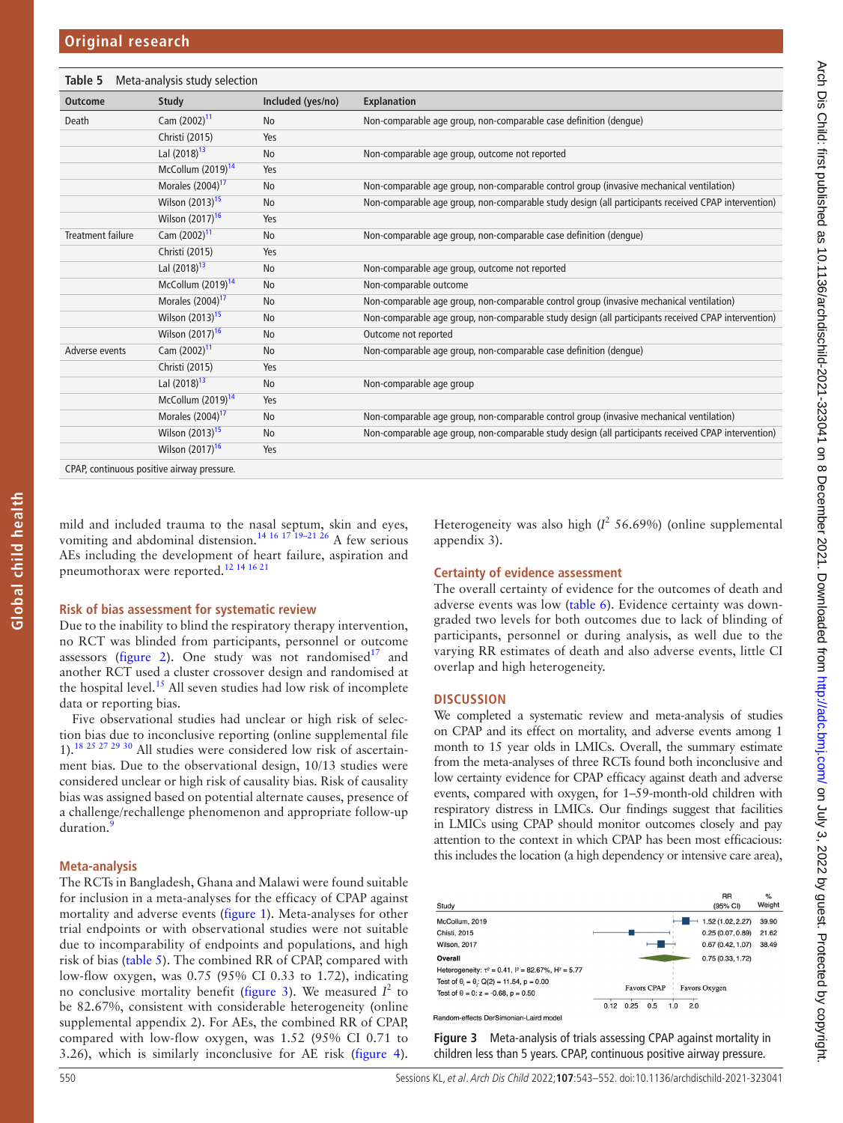<span id="page-7-0"></span>

| Table 5                                  | Meta-analysis study selection |                   |                                                                                                     |
|------------------------------------------|-------------------------------|-------------------|-----------------------------------------------------------------------------------------------------|
| <b>Outcome</b>                           | <b>Study</b>                  | Included (yes/no) | <b>Explanation</b>                                                                                  |
| Death                                    | Cam (2002) <sup>11</sup>      | <b>No</b>         | Non-comparable age group, non-comparable case definition (dengue)                                   |
|                                          | Christi (2015)                | Yes               |                                                                                                     |
|                                          | Lal (2018) <sup>13</sup>      | No                | Non-comparable age group, outcome not reported                                                      |
|                                          | McCollum $(2019)^{14}$        | Yes               |                                                                                                     |
|                                          | Morales (2004) <sup>17</sup>  | No                | Non-comparable age group, non-comparable control group (invasive mechanical ventilation)            |
|                                          | Wilson (2013) <sup>15</sup>   | No                | Non-comparable age group, non-comparable study design (all participants received CPAP intervention) |
|                                          | Wilson (2017) <sup>16</sup>   | Yes               |                                                                                                     |
| <b>Treatment failure</b>                 | Cam (2002) <sup>11</sup>      | No                | Non-comparable age group, non-comparable case definition (dengue)                                   |
|                                          | Christi (2015)                | Yes               |                                                                                                     |
|                                          | Lal (2018) <sup>13</sup>      | No                | Non-comparable age group, outcome not reported                                                      |
|                                          | McCollum $(2019)^{14}$        | No                | Non-comparable outcome                                                                              |
|                                          | Morales (2004) <sup>17</sup>  | <b>No</b>         | Non-comparable age group, non-comparable control group (invasive mechanical ventilation)            |
|                                          | Wilson (2013) <sup>15</sup>   | No                | Non-comparable age group, non-comparable study design (all participants received CPAP intervention) |
|                                          | Wilson (2017) <sup>16</sup>   | No                | Outcome not reported                                                                                |
| Adverse events                           | Cam (2002) <sup>11</sup>      | No                | Non-comparable age group, non-comparable case definition (dengue)                                   |
|                                          | Christi (2015)                | Yes               |                                                                                                     |
|                                          | Lal (2018) <sup>13</sup>      | No                | Non-comparable age group                                                                            |
|                                          | McCollum (2019) <sup>14</sup> | Yes               |                                                                                                     |
|                                          | Morales (2004) <sup>17</sup>  | <b>No</b>         | Non-comparable age group, non-comparable control group (invasive mechanical ventilation)            |
|                                          | Wilson (2013) <sup>15</sup>   | No                | Non-comparable age group, non-comparable study design (all participants received CPAP intervention) |
|                                          | Wilson $(2017)^{16}$          | Yes               |                                                                                                     |
| CDAD continuous positivo ainvay prossuro |                               |                   |                                                                                                     |

CPAP, continuous positive airway pressure.

mild and included trauma to the nasal septum, skin and eyes, vomiting and abdominal distension.<sup>14 16 17 19-21 26</sup> A few serious AEs including the development of heart failure, aspiration and pneumothorax were reported.[12 14 16 21](#page-9-10)

#### **Risk of bias assessment for systematic review**

Due to the inability to blind the respiratory therapy intervention, no RCT was blinded from participants, personnel or outcome assessors [\(figure](#page-6-0) 2). One study was not randomised $17$  and another RCT used a cluster crossover design and randomised at the hospital level.<sup>15</sup> All seven studies had low risk of incomplete data or reporting bias.

Five observational studies had unclear or high risk of selection bias due to inconclusive reporting ([online supplemental file](https://dx.doi.org/10.1136/archdischild-2021-323041)  [1](https://dx.doi.org/10.1136/archdischild-2021-323041)).[18 25 27 29 30](#page-9-17) All studies were considered low risk of ascertainment bias. Due to the observational design, 10/13 studies were considered unclear or high risk of causality bias. Risk of causality bias was assigned based on potential alternate causes, presence of a challenge/rechallenge phenomenon and appropriate follow-up duration.

#### **Meta-analysis**

The RCTs in Bangladesh, Ghana and Malawi were found suitable for inclusion in a meta-analyses for the efficacy of CPAP against mortality and adverse events [\(figure](#page-1-1) 1). Meta-analyses for other trial endpoints or with observational studies were not suitable due to incomparability of endpoints and populations, and high risk of bias ([table](#page-7-0) 5). The combined RR of CPAP, compared with low-flow oxygen, was 0.75 (95% CI 0.33 to 1.72), indicating no conclusive mortality benefit ([figure](#page-7-1) 3). We measured  $I^2$  to be 82.67%, consistent with considerable heterogeneity [\(online](https://dx.doi.org/10.1136/archdischild-2021-323041)  [supplemental appendix 2\)](https://dx.doi.org/10.1136/archdischild-2021-323041). For AEs, the combined RR of CPAP, compared with low-flow oxygen, was 1.52 (95% CI 0.71 to 3.26), which is similarly inconclusive for AE risk [\(figure](#page-8-0) 4).

Heterogeneity was also high  $(I^2 56.69%)$  [\(online supplemental](https://dx.doi.org/10.1136/archdischild-2021-323041) [appendix 3](https://dx.doi.org/10.1136/archdischild-2021-323041)).

#### **Certainty of evidence assessment**

The overall certainty of evidence for the outcomes of death and adverse events was low [\(table](#page-8-1) 6). Evidence certainty was downgraded two levels for both outcomes due to lack of blinding of participants, personnel or during analysis, as well due to the varying RR estimates of death and also adverse events, little CI overlap and high heterogeneity.

#### **DISCUSSION**

We completed a systematic review and meta-analysis of studies on CPAP and its effect on mortality, and adverse events among 1 month to 15 year olds in LMICs. Overall, the summary estimate from the meta-analyses of three RCTs found both inconclusive and low certainty evidence for CPAP efficacy against death and adverse events, compared with oxygen, for 1–59-month-old children with respiratory distress in LMICs. Our findings suggest that facilities in LMICs using CPAP should monitor outcomes closely and pay attention to the context in which CPAP has been most efficacious: this includes the location (a high dependency or intensive care area),



<span id="page-7-1"></span>**Figure 3** Meta-analysis of trials assessing CPAP against mortality in children less than 5 years. CPAP, continuous positive airway pressure.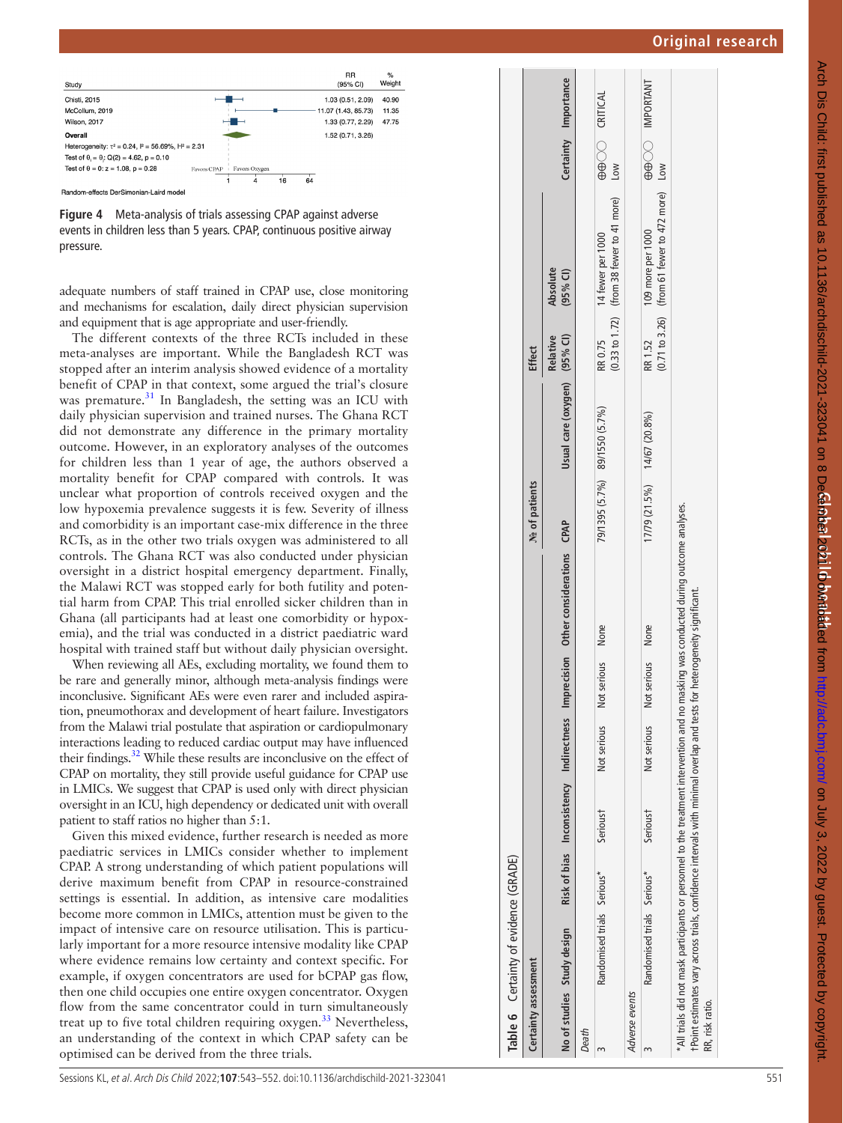

<span id="page-8-0"></span>Random-effects DerSimonian-Laird model

**Figure 4** Meta-analysis of trials assessing CPAP against adverse events in children less than 5 years. CPAP, continuous positive airway pressure.

adequate numbers of staff trained in CPAP use, close monitoring and mechanisms for escalation, daily direct physician supervision and equipment that is age appropriate and user-friendly.

The different contexts of the three RCTs included in these meta-analyses are important. While the Bangladesh RCT was stopped after an interim analysis showed evidence of a mortality benefit of CPAP in that context, some argued the trial's closure was premature.<sup>[31](#page-9-28)</sup> In Bangladesh, the setting was an ICU with daily physician supervision and trained nurses. The Ghana RCT did not demonstrate any difference in the primary mortality outcome. However, in an exploratory analyses of the outcomes for children less than 1 year of age, the authors observed a mortality benefit for CPAP compared with controls. It was unclear what proportion of controls received oxygen and the low hypoxemia prevalence suggests it is few. Severity of illness and comorbidity is an important case-mix difference in the three RCTs, as in the other two trials oxygen was administered to all controls. The Ghana RCT was also conducted under physician oversight in a district hospital emergency department. Finally, the Malawi RCT was stopped early for both futility and poten tial harm from CPAP. This trial enrolled sicker children than in Ghana (all participants had at least one comorbidity or hypox emia), and the trial was conducted in a district paediatric ward hospital with trained staff but without daily physician oversight.

When reviewing all AEs, excluding mortality, we found them to be rare and generally minor, although meta-analysis findings were inconclusive. Significant AEs were even rarer and included aspira tion, pneumothorax and development of heart failure. Investigators from the Malawi trial postulate that aspiration or cardiopulmonary interactions leading to reduced cardiac output may have influenced their findings.<sup>32</sup> While these results are inconclusive on the effect of CPAP on mortality, they still provide useful guidance for CPAP use in LMICs. We suggest that CPAP is used only with direct physician oversight in an ICU, high dependency or dedicated unit with overall patient to staff ratios no higher than 5:1.

<span id="page-8-1"></span>Given this mixed evidence, further research is needed as more paediatric services in LMICs consider whether to implement CPAP. A strong understanding of which patient populations will derive maximum benefit from CPAP in resource-constrained settings is essential. In addition, as intensive care modalities become more common in LMICs, attention must be given to the impact of intensive care on resource utilisation. This is particu larly important for a more resource intensive modality like CPAP where evidence remains low certainty and context specific. For example, if oxygen concentrators are used for bCPAP gas flow, then one child occupies one entire oxygen concentrator. Oxygen flow from the same concentrator could in turn simultaneously treat up to five total children requiring oxygen.<sup>33</sup> Nevertheless, an understanding of the context in which CPAP safety can be optimised can be derived from the three trials.

|                      | Table 6 Certainty of evidence (GRADE)                                                                                    |          |             |                     |                                                                                                                                        |                               |                              |               |                                                                   |                                          |                      |
|----------------------|--------------------------------------------------------------------------------------------------------------------------|----------|-------------|---------------------|----------------------------------------------------------------------------------------------------------------------------------------|-------------------------------|------------------------------|---------------|-------------------------------------------------------------------|------------------------------------------|----------------------|
| Certainty assessment |                                                                                                                          |          |             |                     |                                                                                                                                        | No of patients                |                              | <b>Effect</b> |                                                                   |                                          |                      |
|                      | No of studies Study design                                                                                               |          |             |                     | Risk of bias Inconsistency Indirectness Imprecision Other considerations CPAP                                                          |                               | Usual care (oxygen) (95% CI) | Relative      | Absolute<br>$(95%$ CI)                                            |                                          | Certainty Importance |
| Death                |                                                                                                                          |          |             |                     |                                                                                                                                        |                               |                              |               |                                                                   |                                          |                      |
|                      | Randomised trials Serious*                                                                                               | Serioust | Not serious | serious None<br>Not |                                                                                                                                        | 79/1395 (5.7%) 89/1550 (5.7%) |                              | RR 0.75       | (0.33 to 1.72) (from 38 fewer to 41 more)<br>14 fewer per 1000    | $\oplus \oplus \bigcirc$ critical<br>Low |                      |
| Adverse events       |                                                                                                                          |          |             |                     |                                                                                                                                        |                               |                              |               |                                                                   |                                          |                      |
|                      | Randomised trials Serious*                                                                                               | Serioust | Not serious | serious<br>Not      | None                                                                                                                                   | 17/79 (21.5%) 14/67 (20.8%)   |                              | RR 1.52       | $(0.71 to 3.26)$ (from 61 fewer to 472 more)<br>109 more per 1000 | <b>⊕⊕○○</b> IMPORTANT<br>Low             |                      |
| RR, risk ratio.      | t Point estimates vary across trials, confidence intervals with minimal overlap and tests for heterogeneity significant. |          |             |                     | *All trials did not mask participants or personnel to the treatment intervention and no masking was conducted during outcome analyses. |                               |                              |               |                                                                   |                                          |                      |